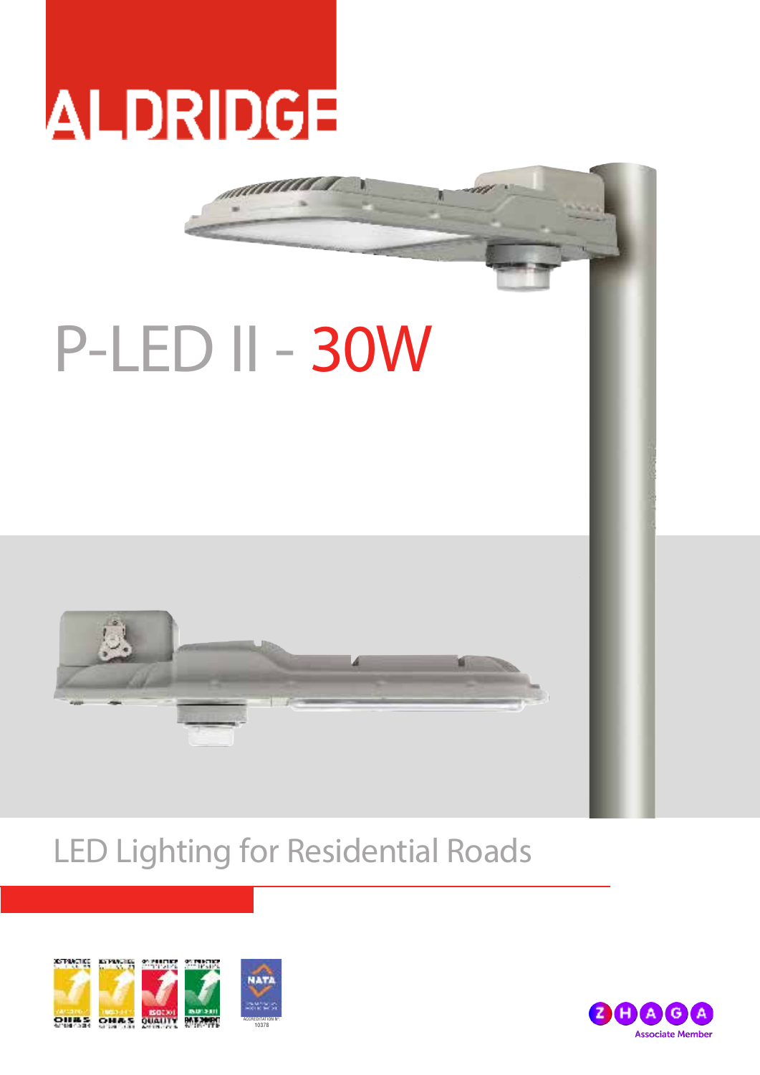## **ALDRIDGE**

# P-LED II - 30W



### LED Lighting for Residential Roads